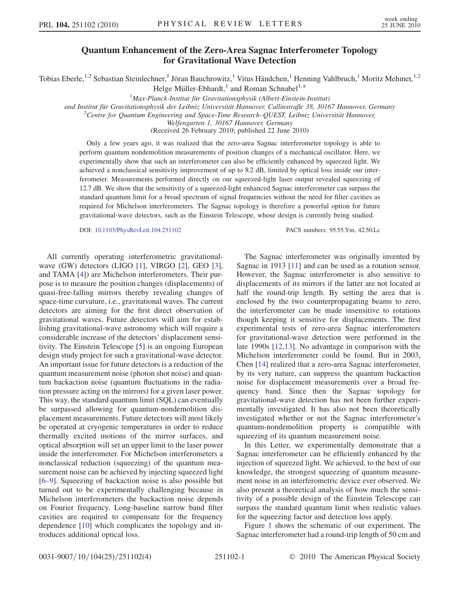## Quantum Enhancement of the Zero-Area Sagnac Interferometer Topology for Gravitational Wave Detection

<span id="page-0-0"></span>Tobias Eberle,<sup>1,2</sup> Sebastian Steinlechner,<sup>1</sup> Jöran Bauchrowitz,<sup>1</sup> Vitus Händchen,<sup>1</sup> Henning Vahlbruch,<sup>1</sup> Moritz Mehmet,<sup>1,2</sup> Helge Müller-Ebhardt,<sup>1</sup> and Roman Schnabel<sup>1,[\\*](#page-3-0)</sup>

 $1$ Max-Planck-Institut für Gravitationsphysik (Albert-Einstein-Institut)

and Institut für Gravitationsphysik der Leibniz Universität Hannover, Callinstraße 38, 30167 Hannover, Germany

<sup>2</sup>Centre for Quantum Engineering and Space-Time Research–QUEST, Leibniz Universität Hannover,

Welfengarten 1, 30167 Hannover, Germany

(Received 26 February 2010; published 22 June 2010)

Only a few years ago, it was realized that the zero-area Sagnac interferometer topology is able to perform quantum nondemolition measurements of position changes of a mechanical oscillator. Here, we experimentally show that such an interferometer can also be efficiently enhanced by squeezed light. We achieved a nonclassical sensitivity improvement of up to 8.2 dB, limited by optical loss inside our interferometer. Measurements performed directly on our squeezed-light laser output revealed squeezing of 12.7 dB. We show that the sensitivity of a squeezed-light enhanced Sagnac interferometer can surpass the standard quantum limit for a broad spectrum of signal frequencies without the need for filter cavities as required for Michelson interferometers. The Sagnac topology is therefore a powerful option for future gravitational-wave detectors, such as the Einstein Telescope, whose design is currently being studied.

DOI: [10.1103/PhysRevLett.104.251102](http://dx.doi.org/10.1103/PhysRevLett.104.251102) PACS numbers: 95.55.Ym, 42.50.Lc

All currently operating interferometric gravitationalwave (GW) detectors (LIGO [[1](#page-3-1)], VIRGO [\[2](#page-3-2)], GEO [[3\]](#page-3-3), and TAMA [\[4\]](#page-3-4)) are Michelson interferometers. Their purpose is to measure the position changes (displacements) of quasi-free-falling mirrors thereby revealing changes of space-time curvature, i.e., gravitational waves. The current detectors are aiming for the first direct observation of gravitational waves. Future detectors will aim for establishing gravitational-wave astronomy which will require a considerable increase of the detectors' displacement sensitivity. The Einstein Telescope [[5\]](#page-3-5) is an ongoing European design study project for such a gravitational-wave detector. An important issue for future detectors is a reduction of the quantum measurement noise (photon shot noise) and quantum backaction noise (quantum fluctuations in the radiation pressure acting on the mirrors) for a given laser power. This way, the standard quantum limit (SQL) can eventually be surpassed allowing for quantum-nondemolition displacement measurements. Future detectors will most likely be operated at cryogenic temperatures in order to reduce thermally excited motions of the mirror surfaces, and optical absorption will set an upper limit to the laser power inside the interferometer. For Michelson interferometers a nonclassical reduction (squeezing) of the quantum measurement noise can be achieved by injecting squeezed light [\[6–](#page-3-6)[9](#page-3-7)]. Squeezing of backaction noise is also possible but turned out to be experimentally challenging because in Michelson interferometers the backaction noise depends on Fourier frequency. Long-baseline narrow band filter cavities are required to compensate for the frequency dependence [[10](#page-3-8)] which complicates the topology and introduces additional optical loss.

The Sagnac interferometer was originally invented by Sagnac in 1913 [\[11\]](#page-3-9) and can be used as a rotation sensor. However, the Sagnac interferometer is also sensitive to displacements of its mirrors if the latter are not located at half the round-trip length. By setting the area that is enclosed by the two counterpropagating beams to zero, the interferometer can be made insensitive to rotations though keeping it sensitive for displacements. The first experimental tests of zero-area Sagnac interferometers for gravitational-wave detection were performed in the late 1990s [[12](#page-3-10),[13](#page-3-11)]. No advantage in comparison with the Michelson interferometer could be found. But in 2003, Chen [\[14\]](#page-3-12) realized that a zero-area Sagnac interferometer, by its very nature, can suppress the quantum backaction noise for displacement measurements over a broad frequency band. Since then the Sagnac topology for gravitational-wave detection has not been further experimentally investigated. It has also not been theoretically investigated whether or not the Sagnac interferometer's quantum-nondemolition property is compatible with squeezing of its quantum measurement noise.

In this Letter, we experimentally demonstrate that a Sagnac interferometer can be efficiently enhanced by the injection of squeezed light. We achieved, to the best of our knowledge, the strongest squeezing of quantum measurement noise in an interferometric device ever observed. We also present a theoretical analysis of how much the sensitivity of a possible design of the Einstein Telescope can surpass the standard quantum limit when realistic values for the squeezing factor and detection loss apply.

Figure [1](#page-1-0) shows the schematic of our experiment. The Sagnac interferometer had a round-trip length of 50 cm and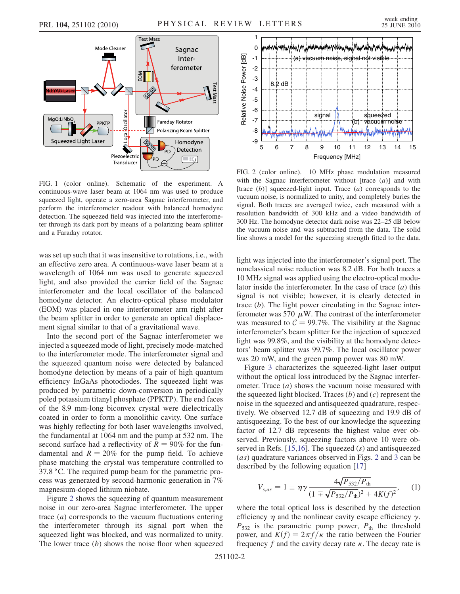<span id="page-1-0"></span>

FIG. 1 (color online). Schematic of the experiment. A continuous-wave laser beam at 1064 nm was used to produce squeezed light, operate a zero-area Sagnac interferometer, and perform the interferometer readout with balanced homodyne detection. The squeezed field was injected into the interferometer through its dark port by means of a polarizing beam splitter and a Faraday rotator.

was set up such that it was insensitive to rotations, i.e., with an effective zero area. A continuous-wave laser beam at a wavelength of 1064 nm was used to generate squeezed light, and also provided the carrier field of the Sagnac interferometer and the local oscillator of the balanced homodyne detector. An electro-optical phase modulator (EOM) was placed in one interferometer arm right after the beam splitter in order to generate an optical displacement signal similar to that of a gravitational wave.

Into the second port of the Sagnac interferometer we injected a squeezed mode of light, precisely mode-matched to the interferometer mode. The interferometer signal and the squeezed quantum noise were detected by balanced homodyne detection by means of a pair of high quantum efficiency InGaAs photodiodes. The squeezed light was produced by parametric down-conversion in periodically poled potassium titanyl phosphate (PPKTP). The end faces of the 8.9 mm-long biconvex crystal were dielectrically coated in order to form a monolithic cavity. One surface was highly reflecting for both laser wavelengths involved, the fundamental at 1064 nm and the pump at 532 nm. The second surface had a reflectivity of  $R = 90\%$  for the fundamental and  $R = 20\%$  for the pump field. To achieve phase matching the crystal was temperature controlled to 37.8 °C. The required pump beam for the parametric process was generated by second-harmonic generation in 7% magnesium-doped lithium niobate.

Figure [2](#page-1-1) shows the squeezing of quantum measurement noise in our zero-area Sagnac interferometer. The upper trace (a) corresponds to the vacuum fluctuations entering the interferometer through its signal port when the squeezed light was blocked, and was normalized to unity. The lower trace  $(b)$  shows the noise floor when squeezed

<span id="page-1-1"></span>

FIG. 2 (color online). 10 MHz phase modulation measured with the Sagnac interferometer without [trace  $(a)$ ] and with [trace  $(b)$ ] squeezed-light input. Trace  $(a)$  corresponds to the vacuum noise, is normalized to unity, and completely buries the signal. Both traces are averaged twice, each measured with a resolution bandwidth of 300 kHz and a video bandwidth of 300 Hz. The homodyne detector dark noise was 22–25 dB below the vacuum noise and was subtracted from the data. The solid line shows a model for the squeezing strength fitted to the data.

light was injected into the interferometer's signal port. The nonclassical noise reduction was 8.2 dB. For both traces a 10 MHz signal was applied using the electro-optical modulator inside the interferometer. In the case of trace  $(a)$  this signal is not visible; however, it is clearly detected in trace  $(b)$ . The light power circulating in the Sagnac interferometer was 570  $\mu$ W. The contrast of the interferometer was measured to  $C = 99.7\%$ . The visibility at the Sagnac interferometer's beam splitter for the injection of squeezed light was 99.8%, and the visibility at the homodyne detectors' beam splitter was 99.7%. The local oscillator power was 20 mW, and the green pump power was 80 mW.

Figure [3](#page-2-0) characterizes the squeezed-light laser output without the optical loss introduced by the Sagnac interferometer. Trace (a) shows the vacuum noise measured with the squeezed light blocked. Traces  $(b)$  and  $(c)$  represent the noise in the squeezed and antisqueezed quadrature, respectively. We observed 12.7 dB of squeezing and 19.9 dB of antisqueezing. To the best of our knowledge the squeezing factor of 12.7 dB represents the highest value ever observed. Previously, squeezing factors above 10 were ob-served in Refs. [[15](#page-3-13),[16](#page-3-14)]. The squeezed  $(s)$  and antisqueezed (as) quadrature variances observed in Figs. [2](#page-1-1) and [3](#page-2-0) can be described by the following equation [[17](#page-3-15)]

<span id="page-1-2"></span>
$$
V_{s,as} = 1 \pm \eta \gamma \frac{4\sqrt{P_{532}/P_{th}}}{(1 \mp \sqrt{P_{532}/P_{th}})^2 + 4K(f)^2},
$$
 (1)

where the total optical loss is described by the detection efficiency  $\eta$  and the nonlinear cavity escape efficiency  $\gamma$ .  $P_{532}$  is the parametric pump power,  $P_{th}$  the threshold power, and  $K(f) = 2\pi f/\kappa$  the ratio between the Fourier frequency  $f$  and the cavity decay rate  $\kappa$ . The decay rate is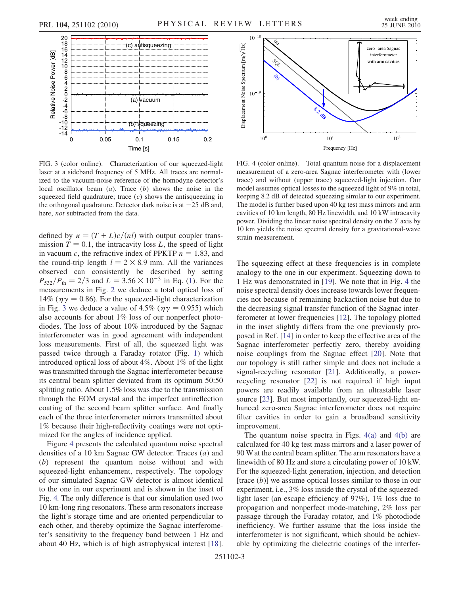<span id="page-2-0"></span>

FIG. 3 (color online). Characterization of our squeezed-light laser at a sideband frequency of 5 MHz. All traces are normalized to the vacuum-noise reference of the homodyne detector's local oscillator beam  $(a)$ . Trace  $(b)$  shows the noise in the squeezed field quadrature; trace  $(c)$  shows the antisqueezing in the orthogonal quadrature. Detector dark noise is at  $-25$  dB and, here, not subtracted from the data.

defined by  $\kappa = (T + L)c/(nl)$  with output coupler transmission  $T = 0.1$ , the intracavity loss L, the speed of light in vacuum c, the refractive index of PPKTP  $n = 1.83$ , and the round-trip length  $l = 2 \times 8.9$  mm. All the variances observed can consistently be described by setting  $P_{532}/P_{\text{th}} = 2/3$  and  $L = 3.56 \times 10^{-3}$  in Eq. [\(1\)](#page-1-2). For the measurements in Fig. [2](#page-1-1) we deduce a total optical loss of 14% ( $\eta \gamma = 0.86$ ). For the squeezed-light characterization in Fig. [3](#page-2-0) we deduce a value of 4.5% ( $\eta \gamma = 0.955$ ) which also accounts for about 1% loss of our nonperfect photodiodes. The loss of about 10% introduced by the Sagnac interferometer was in good agreement with independent loss measurements. First of all, the squeezed light was passed twice through a Faraday rotator (Fig. [1\)](#page-1-0) which introduced optical loss of about 4%. About 1% of the light was transmitted through the Sagnac interferometer because its central beam splitter deviated from its optimum 50:50 splitting ratio. About 1.5% loss was due to the transmission through the EOM crystal and the imperfect antireflection coating of the second beam splitter surface. And finally each of the three interferometer mirrors transmitted about 1% because their high-reflectivity coatings were not optimized for the angles of incidence applied.

Figure [4](#page-2-1) presents the calculated quantum noise spectral densities of a 10 km Sagnac GW detector. Traces (a) and (b) represent the quantum noise without and with squeezed-light enhancement, respectively. The topology of our simulated Sagnac GW detector is almost identical to the one in our experiment and is shown in the inset of Fig. [4.](#page-2-1) The only difference is that our simulation used two 10 km-long ring resonators. These arm resonators increase the light's storage time and are oriented perpendicular to each other, and thereby optimize the Sagnac interferometer's sensitivity to the frequency band between 1 Hz and about 40 Hz, which is of high astrophysical interest [[18\]](#page-3-16).

<span id="page-2-1"></span>

<span id="page-2-2"></span>FIG. 4 (color online). Total quantum noise for a displacement measurement of a zero-area Sagnac interferometer with (lower trace) and without (upper trace) squeezed-light injection. Our model assumes optical losses to the squeezed light of 9% in total, keeping 8.2 dB of detected squeezing similar to our experiment. The model is further based upon 40 kg test mass mirrors and arm cavities of 10 km length, 80 Hz linewidth, and 10 kW intracavity power. Dividing the linear noise spectral density on the Y axis by 10 km yields the noise spectral density for a gravitational-wave strain measurement.

The squeezing effect at these frequencies is in complete analogy to the one in our experiment. Squeezing down to 1 Hz was demonstrated in [[19](#page-3-17)]. We note that in Fig. [4](#page-2-1) the noise spectral density does increase towards lower frequencies not because of remaining backaction noise but due to the decreasing signal transfer function of the Sagnac interferometer at lower frequencies [\[12\]](#page-3-10). The topology plotted in the inset slightly differs from the one previously proposed in Ref. [\[14\]](#page-3-12) in order to keep the effective area of the Sagnac interferometer perfectly zero, thereby avoiding noise couplings from the Sagnac effect [[20](#page-3-18)]. Note that our topology is still rather simple and does not include a signal-recycling resonator [[21](#page-3-19)]. Additionally, a powerrecycling resonator [\[22\]](#page-3-20) is not required if high input powers are readily available from an ultrastable laser source [\[23](#page-3-21)]. But most importantly, our squeezed-light enhanced zero-area Sagnac interferometer does not require filter cavities in order to gain a broadband sensitivity improvement.

The quantum noise spectra in Figs. [4\(a\)](#page-2-2) and [4\(b\)](#page-2-2) are calculated for 40 kg test mass mirrors and a laser power of 90 W at the central beam splitter. The arm resonators have a linewidth of 80 Hz and store a circulating power of 10 kW. For the squeezed-light generation, injection, and detection [trace  $(b)$ ] we assume optical losses similar to those in our experiment, i.e., 3% loss inside the crystal of the squeezedlight laser (an escape efficiency of 97%), 1% loss due to propagation and nonperfect mode-matching, 2% loss per passage through the Faraday rotator, and 1% photodiode inefficiency. We further assume that the loss inside the interferometer is not significant, which should be achievable by optimizing the dielectric coatings of the interfer